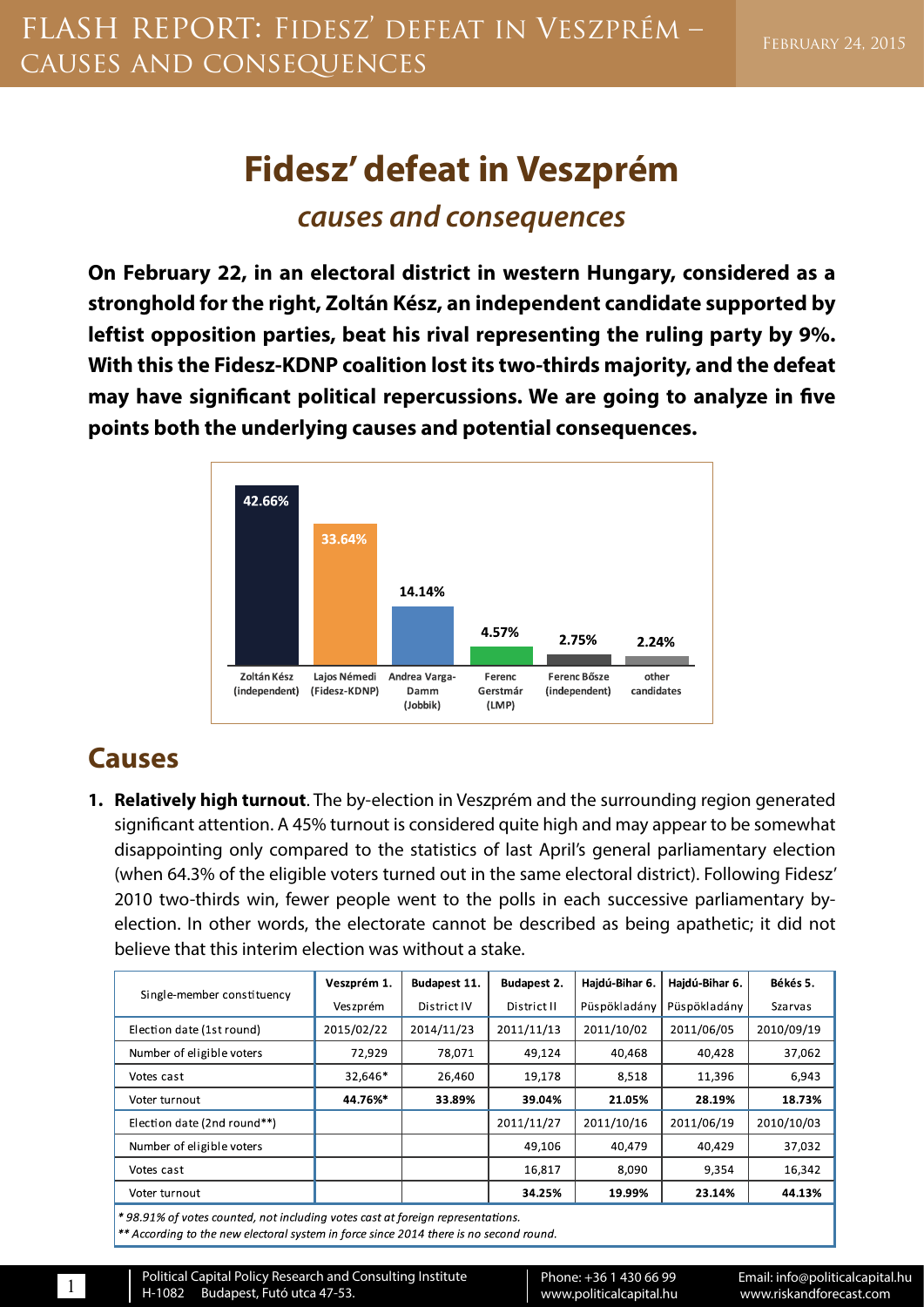## **Fidesz' defeat in Veszprém** *causes and consequences*

**On February 22, in an electoral district in western Hungary, considered as a stronghold for the right, Zoltán Kész, an independent candidate supported by leftist opposition parties, beat his rival representing the ruling party by 9%. With this the Fidesz-KDNP coalition lost its two-thirds majority, and the defeat may have significant political repercussions. We are going to analyze in five points both the underlying causes and potential consequences.**



## **Causes**

**1. Relatively high turnout**. The by-election in Veszprém and the surrounding region generated significant attention. A 45% turnout is considered quite high and may appear to be somewhat disappointing only compared to the statistics of last April's general parliamentary election (when 64.3% of the eligible voters turned out in the same electoral district). Following Fidesz' 2010 two-thirds win, fewer people went to the polls in each successive parliamentary byelection. In other words, the electorate cannot be described as being apathetic; it did not believe that this interim election was without a stake.

| Single-member constituency  | Veszprém 1. | Budapest 11. | <b>Budapest 2.</b> | Hajdú-Bihar 6. | Hajdú-Bihar 6. | Békés 5.       |
|-----------------------------|-------------|--------------|--------------------|----------------|----------------|----------------|
|                             | Veszprém    | District IV  | District II        | Püspökladány   | Püspökladány   | <b>Szarvas</b> |
| Election date (1st round)   | 2015/02/22  | 2014/11/23   | 2011/11/13         | 2011/10/02     | 2011/06/05     | 2010/09/19     |
| Number of eligible voters   | 72,929      | 78,071       | 49,124             | 40,468         | 40,428         | 37,062         |
| Votes cast                  | 32,646*     | 26,460       | 19,178             | 8,518          | 11,396         | 6,943          |
| Voter turnout               | 44.76%*     | 33.89%       | 39.04%             | 21.05%         | 28.19%         | 18.73%         |
| Election date (2nd round**) |             |              | 2011/11/27         | 2011/10/16     | 2011/06/19     | 2010/10/03     |
| Number of eligible voters   |             |              | 49.106             | 40.479         | 40.429         | 37,032         |
| Votes cast                  |             |              | 16,817             | 8,090          | 9,354          | 16,342         |
| Voter turnout               |             |              | 34.25%             | 19.99%         | 23.14%         | 44.13%         |
|                             |             |              |                    |                |                |                |

\*98.91% of votes counted, not including votes cast at foreign representations.

\*\* According to the new electoral system in force since 2014 there is no second round.

Political Capital Policy Research and Consulting Institute Heroical Capitari oncy research and consuming institute<br>H-1082 Budapest, Futó utca 47-53. Www.politicalcapital.hu www.www.iskandforecast.com www.iskandforecast.com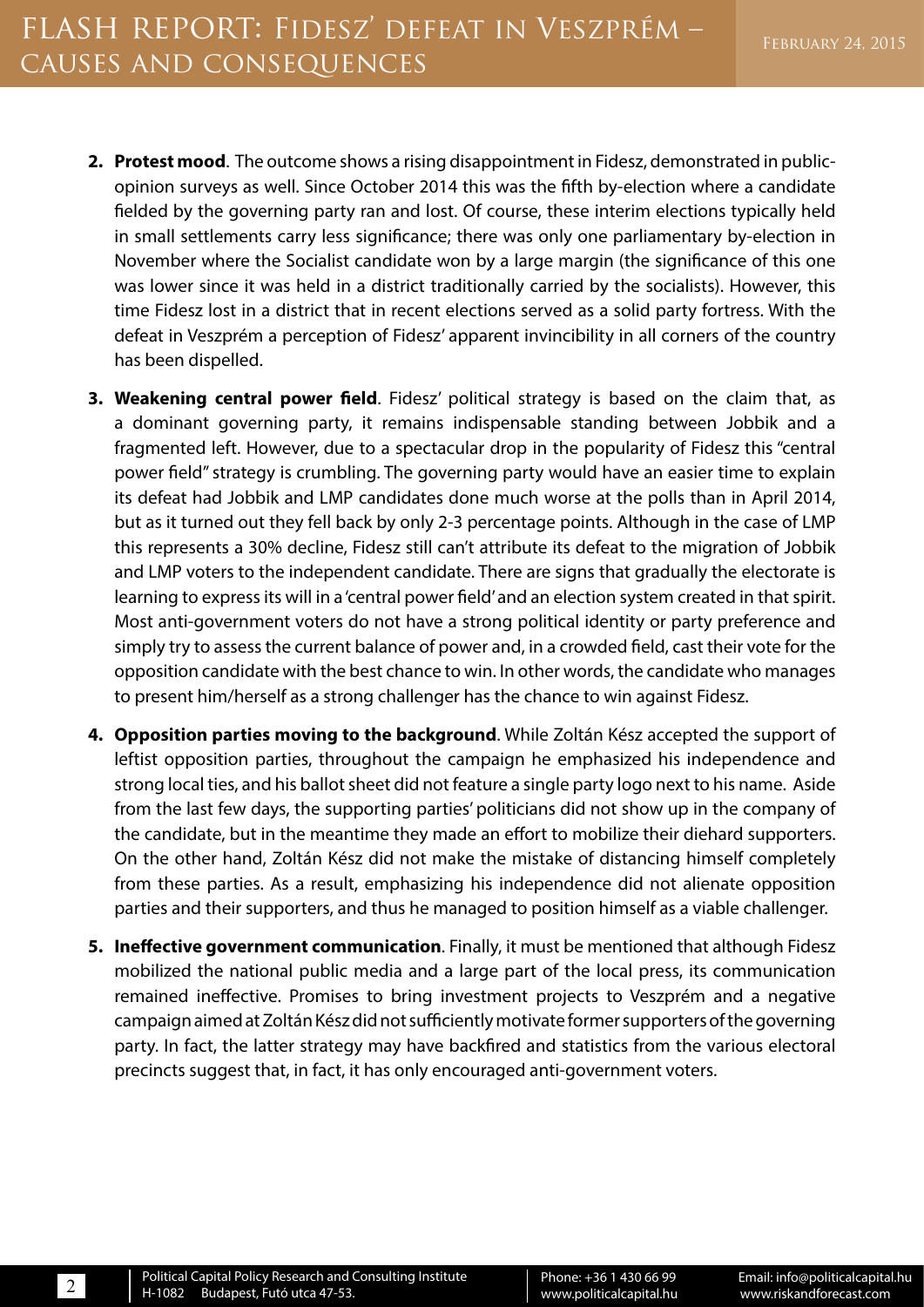- **2. Protest mood**. The outcome shows a rising disappointment in Fidesz, demonstrated in publicopinion surveys as well. Since October 2014 this was the fifth by-election where a candidate fielded by the governing party ran and lost. Of course, these interim elections typically held in small settlements carry less significance; there was only one parliamentary by-election in November where the Socialist candidate won by a large margin (the significance of this one was lower since it was held in a district traditionally carried by the socialists). However, this time Fidesz lost in a district that in recent elections served as a solid party fortress. With the defeat in Veszprém a perception of Fidesz' apparent invincibility in all corners of the country has been dispelled.
- **3. Weakening central power field**. Fidesz' political strategy is based on the claim that, as a dominant governing party, it remains indispensable standing between Jobbik and a fragmented left. However, due to a spectacular drop in the popularity of Fidesz this "central power field" strategy is crumbling. The governing party would have an easier time to explain its defeat had Jobbik and LMP candidates done much worse at the polls than in April 2014, but as it turned out they fell back by only 2-3 percentage points. Although in the case of LMP this represents a 30% decline, Fidesz still can't attribute its defeat to the migration of Jobbik and LMP voters to the independent candidate. There are signs that gradually the electorate is learning to express its will in a 'central power field' and an election system created in that spirit. Most anti-government voters do not have a strong political identity or party preference and simply try to assess the current balance of power and, in a crowded field, cast their vote for the opposition candidate with the best chance to win. In other words, the candidate who manages to present him/herself as a strong challenger has the chance to win against Fidesz.
- **4. Opposition parties moving to the background**. While Zoltán Kész accepted the support of leftist opposition parties, throughout the campaign he emphasized his independence and strong local ties, and his ballot sheet did not feature a single party logo next to his name. Aside from the last few days, the supporting parties' politicians did not show up in the company of the candidate, but in the meantime they made an effort to mobilize their diehard supporters. On the other hand, Zoltán Kész did not make the mistake of distancing himself completely from these parties. As a result, emphasizing his independence did not alienate opposition parties and their supporters, and thus he managed to position himself as a viable challenger.
- **5. Ineffective government communication**. Finally, it must be mentioned that although Fidesz mobilized the national public media and a large part of the local press, its communication remained ineffective. Promises to bring investment projects to Veszprém and a negative campaign aimed at Zoltán Kész did not sufficiently motivate former supporters of the governing party. In fact, the latter strategy may have backfired and statistics from the various electoral precincts suggest that, in fact, it has only encouraged anti-government voters.